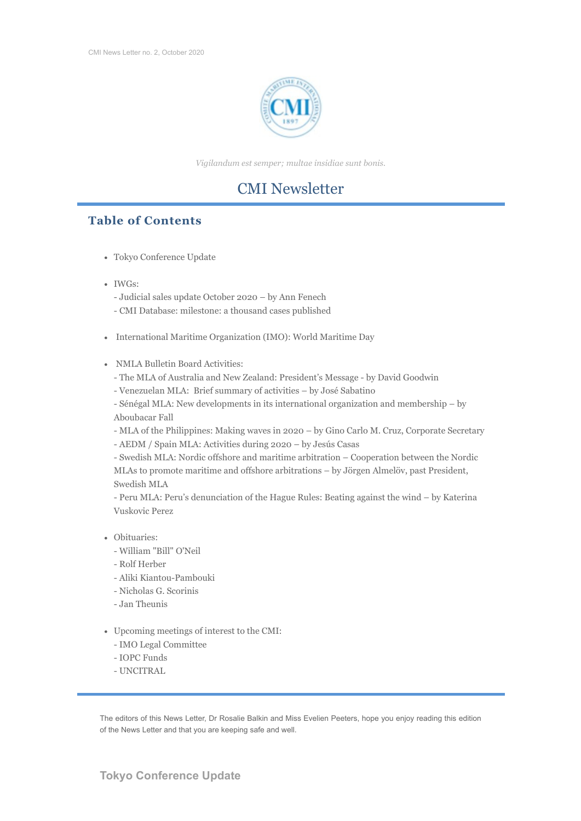

*Vigilandum est semper; multae insidiae sunt bonis.*

# CMI Newsletter

# **Table of Contents**

- Tokyo Conference Update
- IWGs:
	- Judicial sales update October 2020 by Ann Fenech
	- CMI Database: milestone: a thousand cases published
- International Maritime Organization (IMO): World Maritime Day
- NMLA Bulletin Board Activities:
	- The MLA of Australia and New Zealand: President's Message by David Goodwin
	- Venezuelan MLA: Brief summary of activities by José Sabatino

- Sénégal MLA: New developments in its international organization and membership – by Aboubacar Fall

- MLA of the Philippines: Making waves in 2020 – by Gino Carlo M. Cruz, Corporate Secretary - AEDM / Spain MLA: Activities during 2020 – by Jesús Casas

- Swedish MLA: Nordic offshore and maritime arbitration – Cooperation between the Nordic MLAs to promote maritime and offshore arbitrations – by Jörgen Almelöv, past President, Swedish MLA

- Peru MLA: Peru's denunciation of the Hague Rules: Beating against the wind – by Katerina Vuskovic Perez

- Obituaries:
	- William "Bill" O'Neil
	- Rolf Herber
	- Aliki Kiantou-Pambouki
	- Nicholas G. Scorinis
	- Jan Theunis
- Upcoming meetings of interest to the CMI:
	- IMO Legal Committee
	- IOPC Funds
	- UNCITRAL

The editors of this News Letter, Dr Rosalie Balkin and Miss Evelien Peeters, hope you enjoy reading this edition of the News Letter and that you are keeping safe and well.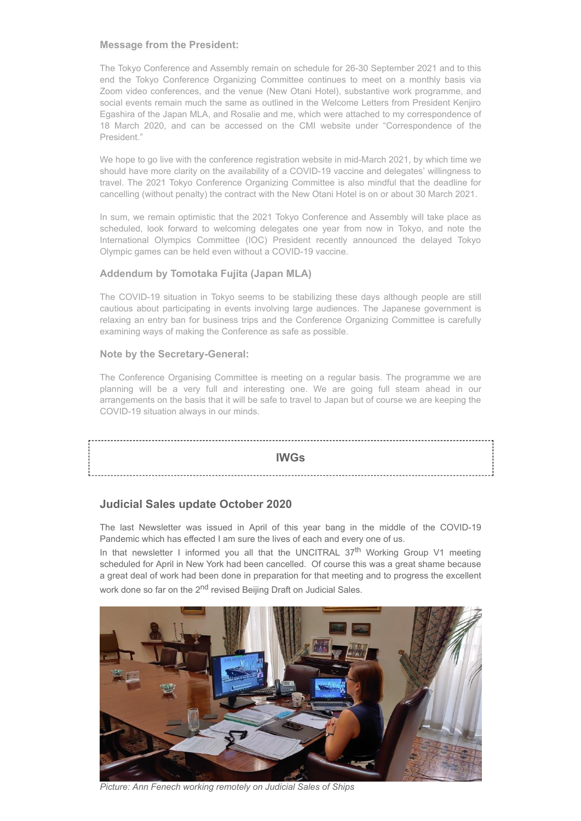#### **Message from the President:**

The Tokyo Conference and Assembly remain on schedule for 26-30 September 2021 and to this end the Tokyo Conference Organizing Committee continues to meet on a monthly basis via Zoom video conferences, and the venue (New Otani Hotel), substantive work programme, and social events remain much the same as outlined in the Welcome Letters from President Kenjiro Egashira of the Japan MLA, and Rosalie and me, which were attached to my correspondence of 18 March 2020, and can be accessed on the CMI website under "Correspondence of the President."

We hope to go live with the conference registration website in mid-March 2021, by which time we should have more clarity on the availability of a COVID-19 vaccine and delegates' willingness to travel. The 2021 Tokyo Conference Organizing Committee is also mindful that the deadline for cancelling (without penalty) the contract with the New Otani Hotel is on or about 30 March 2021.

In sum, we remain optimistic that the 2021 Tokyo Conference and Assembly will take place as scheduled, look forward to welcoming delegates one year from now in Tokyo, and note the International Olympics Committee (IOC) President recently announced the delayed Tokyo Olympic games can be held even without a COVID-19 vaccine.

## **Addendum by Tomotaka Fujita (Japan MLA)**

The COVID-19 situation in Tokyo seems to be stabilizing these days although people are still cautious about participating in events involving large audiences. The Japanese government is relaxing an entry ban for business trips and the Conference Organizing Committee is carefully examining ways of making the Conference as safe as possible.

### **Note by the Secretary-General:**

The Conference Organising Committee is meeting on a regular basis. The programme we are planning will be a very full and interesting one. We are going full steam ahead in our arrangements on the basis that it will be safe to travel to Japan but of course we are keeping the COVID-19 situation always in our minds.

#### **IWGs**

# **Judicial Sales update October 2020**

The last Newsletter was issued in April of this year bang in the middle of the COVID-19 Pandemic which has effected I am sure the lives of each and every one of us.

In that newsletter I informed you all that the UNCITRAL  $37<sup>th</sup>$  Working Group V1 meeting scheduled for April in New York had been cancelled. Of course this was a great shame because a great deal of work had been done in preparation for that meeting and to progress the excellent work done so far on the 2<sup>nd</sup> revised Beijing Draft on Judicial Sales.



*Picture: Ann Fenech working remotely on Judicial Sales of Ships*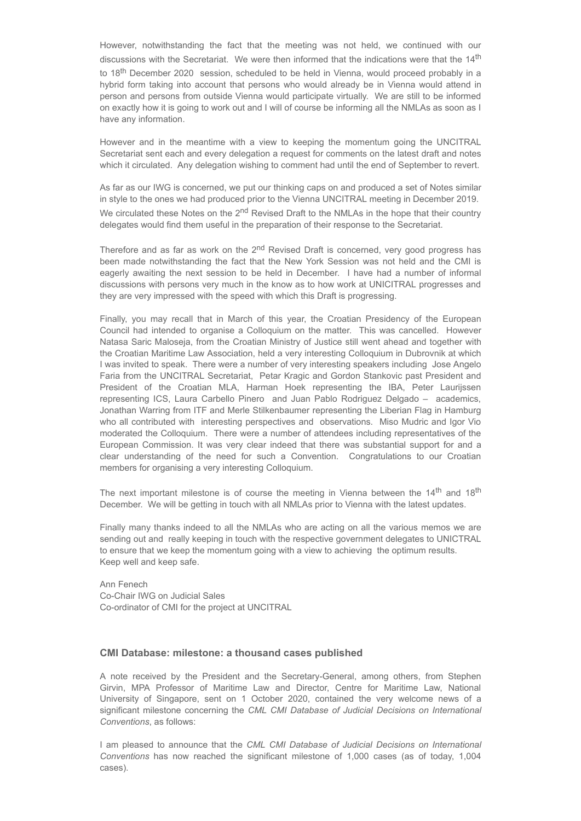However, notwithstanding the fact that the meeting was not held, we continued with our discussions with the Secretariat. We were then informed that the indications were that the 14<sup>th</sup> to 18<sup>th</sup> December 2020 session, scheduled to be held in Vienna, would proceed probably in a hybrid form taking into account that persons who would already be in Vienna would attend in person and persons from outside Vienna would participate virtually. We are still to be informed on exactly how it is going to work out and I will of course be informing all the NMLAs as soon as I have any information.

However and in the meantime with a view to keeping the momentum going the UNCITRAL Secretariat sent each and every delegation a request for comments on the latest draft and notes which it circulated. Any delegation wishing to comment had until the end of September to revert.

As far as our IWG is concerned, we put our thinking caps on and produced a set of Notes similar in style to the ones we had produced prior to the Vienna UNCITRAL meeting in December 2019. We circulated these Notes on the 2<sup>nd</sup> Revised Draft to the NMLAs in the hope that their country delegates would find them useful in the preparation of their response to the Secretariat.

Therefore and as far as work on the 2<sup>nd</sup> Revised Draft is concerned, very good progress has been made notwithstanding the fact that the New York Session was not held and the CMI is eagerly awaiting the next session to be held in December. I have had a number of informal discussions with persons very much in the know as to how work at UNICITRAL progresses and they are very impressed with the speed with which this Draft is progressing.

Finally, you may recall that in March of this year, the Croatian Presidency of the European Council had intended to organise a Colloquium on the matter. This was cancelled. However Natasa Saric Maloseja, from the Croatian Ministry of Justice still went ahead and together with the Croatian Maritime Law Association, held a very interesting Colloquium in Dubrovnik at which I was invited to speak. There were a number of very interesting speakers including Jose Angelo Faria from the UNCITRAL Secretariat, Petar Kragic and Gordon Stankovic past President and President of the Croatian MLA, Harman Hoek representing the IBA, Peter Laurijssen representing ICS, Laura Carbello Pinero and Juan Pablo Rodriguez Delgado – academics, Jonathan Warring from ITF and Merle Stilkenbaumer representing the Liberian Flag in Hamburg who all contributed with interesting perspectives and observations. Miso Mudric and Igor Vio moderated the Colloquium. There were a number of attendees including representatives of the European Commission. It was very clear indeed that there was substantial support for and a clear understanding of the need for such a Convention. Congratulations to our Croatian members for organising a very interesting Colloquium.

The next important milestone is of course the meeting in Vienna between the  $14<sup>th</sup>$  and  $18<sup>th</sup>$ December. We will be getting in touch with all NMLAs prior to Vienna with the latest updates.

Finally many thanks indeed to all the NMLAs who are acting on all the various memos we are sending out and really keeping in touch with the respective government delegates to UNICTRAL to ensure that we keep the momentum going with a view to achieving the optimum results. Keep well and keep safe.

Ann Fenech Co-Chair IWG on Judicial Sales Co-ordinator of CMI for the project at UNCITRAL

#### **CMI Database: milestone: a thousand cases published**

A note received by the President and the Secretary-General, among others, from Stephen Girvin, MPA Professor of Maritime Law and Director, Centre for Maritime Law, National University of Singapore, sent on 1 October 2020, contained the very welcome news of a significant milestone concerning the *CML CMI Database of Judicial Decisions on International Conventions*, as follows:

I am pleased to announce that the *CML CMI Database of Judicial Decisions on International Conventions* has now reached the significant milestone of 1,000 cases (as of today, 1,004 cases).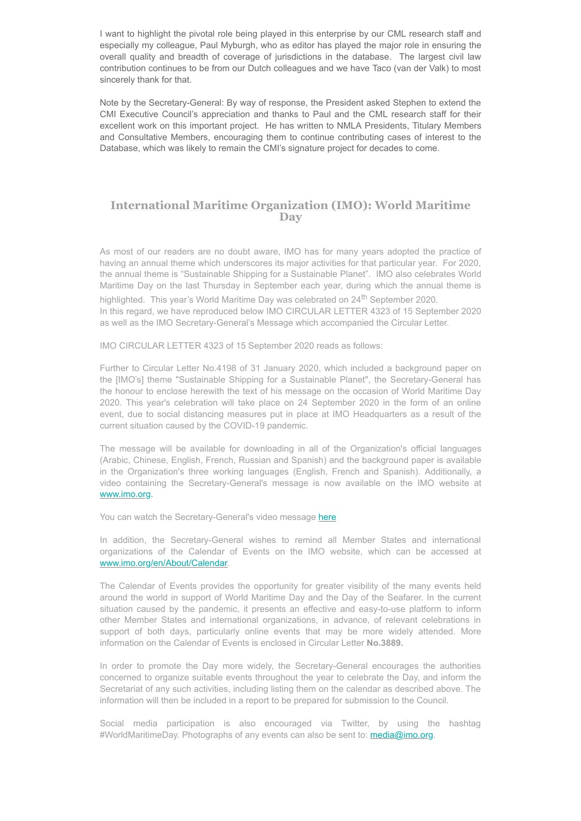I want to highlight the pivotal role being played in this enterprise by our CML research staff and especially my colleague, Paul Myburgh, who as editor has played the major role in ensuring the overall quality and breadth of coverage of jurisdictions in the database. The largest civil law contribution continues to be from our Dutch colleagues and we have Taco (van der Valk) to most sincerely thank for that.

Note by the Secretary-General: By way of response, the President asked Stephen to extend the CMI Executive Council's appreciation and thanks to Paul and the CML research staff for their excellent work on this important project. He has written to NMLA Presidents, Titulary Members and Consultative Members, encouraging them to continue contributing cases of interest to the Database, which was likely to remain the CMI's signature project for decades to come.

### **International Maritime Organization (IMO): World Maritime Day**

As most of our readers are no doubt aware, IMO has for many years adopted the practice of having an annual theme which underscores its major activities for that particular year. For 2020, the annual theme is "Sustainable Shipping for a Sustainable Planet". IMO also celebrates World Maritime Day on the last Thursday in September each year, during which the annual theme is highlighted. This year's World Maritime Day was celebrated on 24<sup>th</sup> September 2020.

In this regard, we have reproduced below IMO CIRCULAR LETTER 4323 of 15 September 2020 as well as the IMO Secretary-General's Message which accompanied the Circular Letter.

IMO CIRCULAR LETTER 4323 of 15 September 2020 reads as follows:

Further to Circular Letter No.4198 of 31 January 2020, which included a background paper on the [IMO's] theme "Sustainable Shipping for a Sustainable Planet", the Secretary-General has the honour to enclose herewith the text of his message on the occasion of World Maritime Day 2020. This year's celebration will take place on 24 September 2020 in the form of an online event, due to social distancing measures put in place at IMO Headquarters as a result of the current situation caused by the COVID-19 pandemic.

The message will be available for downloading in all of the Organization's official languages (Arabic, Chinese, English, French, Russian and Spanish) and the background paper is available in the Organization's three working languages (English, French and Spanish). Additionally, a video containing the Secretary-General's message is now available on the IMO website at [www.imo.org.](http://www.imo.org/)

You can watch the Secretary-General's video message [here](https://www.youtube.com/watch?v=hGjv25X0SjE&feature=youtu.be)

In addition, the Secretary-General wishes to remind all Member States and international organizations of the Calendar of Events on the IMO website, which can be accessed at [www.imo.org/en/About/Calendar](http://www.imo.org/en/About/Calendar).

The Calendar of Events provides the opportunity for greater visibility of the many events held around the world in support of World Maritime Day and the Day of the Seafarer. In the current situation caused by the pandemic, it presents an effective and easy-to-use platform to inform other Member States and international organizations, in advance, of relevant celebrations in support of both days, particularly online events that may be more widely attended. More information on the Calendar of Events is enclosed in Circular Letter **No.3889.**

In order to promote the Day more widely, the Secretary-General encourages the authorities concerned to organize suitable events throughout the year to celebrate the Day, and inform the Secretariat of any such activities, including listing them on the calendar as described above. The information will then be included in a report to be prepared for submission to the Council.

Social media participation is also encouraged via Twitter, by using the hashtag #WorldMaritimeDay. Photographs of any events can also be sent to: **media@imo.org**.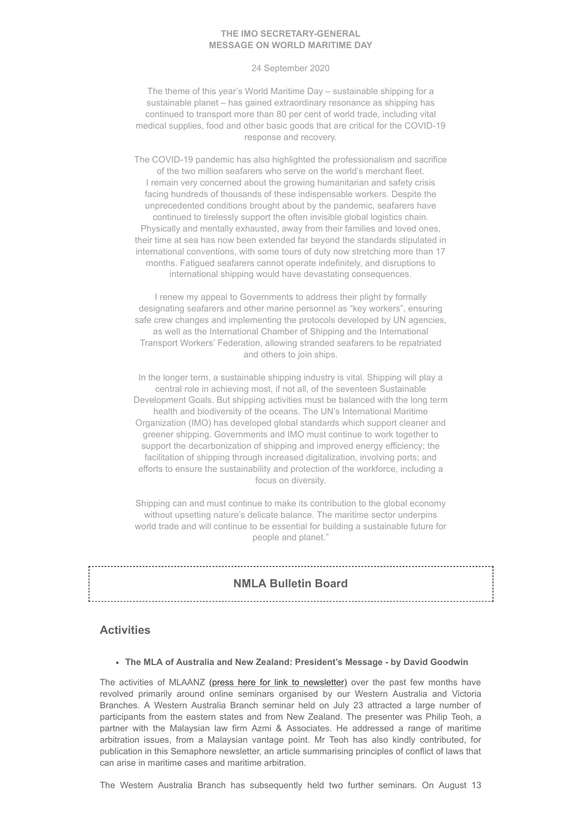#### **THE IMO SECRETARY-GENERAL MESSAGE ON WORLD MARITIME DAY**

#### 24 September 2020

The theme of this year's World Maritime Day – sustainable shipping for a sustainable planet – has gained extraordinary resonance as shipping has continued to transport more than 80 per cent of world trade, including vital medical supplies, food and other basic goods that are critical for the COVID-19 response and recovery.

The COVID-19 pandemic has also highlighted the professionalism and sacrifice of the two million seafarers who serve on the world's merchant fleet. I remain very concerned about the growing humanitarian and safety crisis facing hundreds of thousands of these indispensable workers. Despite the unprecedented conditions brought about by the pandemic, seafarers have continued to tirelessly support the often invisible global logistics chain. Physically and mentally exhausted, away from their families and loved ones, their time at sea has now been extended far beyond the standards stipulated in international conventions, with some tours of duty now stretching more than 17 months. Fatigued seafarers cannot operate indefinitely, and disruptions to international shipping would have devastating consequences.

I renew my appeal to Governments to address their plight by formally designating seafarers and other marine personnel as "key workers", ensuring safe crew changes and implementing the protocols developed by UN agencies, as well as the International Chamber of Shipping and the International Transport Workers' Federation, allowing stranded seafarers to be repatriated and others to join ships.

In the longer term, a sustainable shipping industry is vital. Shipping will play a central role in achieving most, if not all, of the seventeen Sustainable Development Goals. But shipping activities must be balanced with the long term health and biodiversity of the oceans. The UN's International Maritime Organization (IMO) has developed global standards which support cleaner and greener shipping. Governments and IMO must continue to work together to support the decarbonization of shipping and improved energy efficiency; the facilitation of shipping through increased digitalization, involving ports; and efforts to ensure the sustainability and protection of the workforce, including a focus on diversity.

Shipping can and must continue to make its contribution to the global economy without upsetting nature's delicate balance. The maritime sector underpins world trade and will continue to be essential for building a sustainable future for people and planet."

#### **NMLA Bulletin Board**

#### **Activities**

**The MLA of Australia and New Zealand: President's Message - by David Goodwin**

The activities of MLAANZ [\(press here for link to newsletter\)](https://mailchi.mp/macintyrepr/mlaanz-newsletter-sep2020-4041169) over the past few months have revolved primarily around online seminars organised by our Western Australia and Victoria Branches. A Western Australia Branch seminar held on July 23 attracted a large number of participants from the eastern states and from New Zealand. The presenter was Philip Teoh, a partner with the Malaysian law firm Azmi & Associates. He addressed a range of maritime arbitration issues, from a Malaysian vantage point. Mr Teoh has also kindly contributed, for publication in this Semaphore newsletter, an article summarising principles of conflict of laws that can arise in maritime cases and maritime arbitration.

The Western Australia Branch has subsequently held two further seminars. On August 13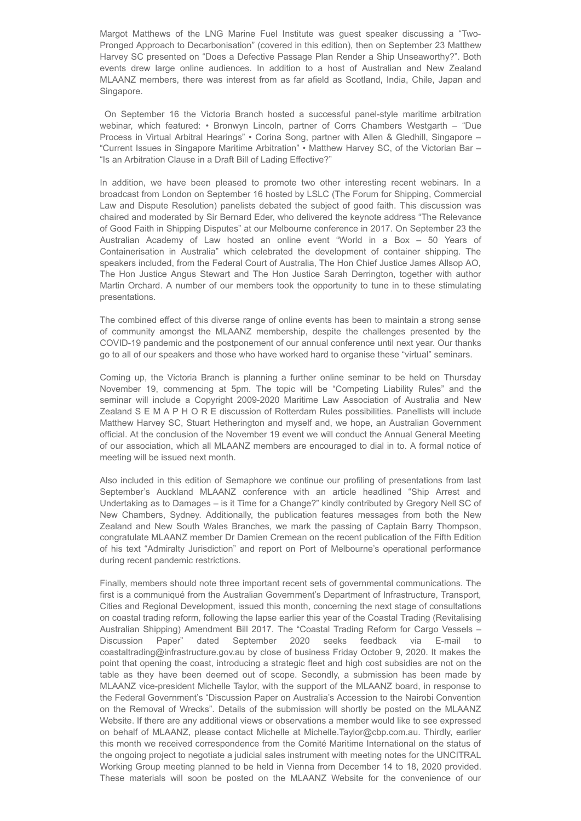Margot Matthews of the LNG Marine Fuel Institute was guest speaker discussing a "Two-Pronged Approach to Decarbonisation" (covered in this edition), then on September 23 Matthew Harvey SC presented on "Does a Defective Passage Plan Render a Ship Unseaworthy?". Both events drew large online audiences. In addition to a host of Australian and New Zealand MLAANZ members, there was interest from as far afield as Scotland, India, Chile, Japan and Singapore.

On September 16 the Victoria Branch hosted a successful panel-style maritime arbitration webinar, which featured: • Bronwyn Lincoln, partner of Corrs Chambers Westgarth – "Due Process in Virtual Arbitral Hearings" • Corina Song, partner with Allen & Gledhill, Singapore – "Current Issues in Singapore Maritime Arbitration" • Matthew Harvey SC, of the Victorian Bar – "Is an Arbitration Clause in a Draft Bill of Lading Effective?"

In addition, we have been pleased to promote two other interesting recent webinars. In a broadcast from London on September 16 hosted by LSLC (The Forum for Shipping, Commercial Law and Dispute Resolution) panelists debated the subject of good faith. This discussion was chaired and moderated by Sir Bernard Eder, who delivered the keynote address "The Relevance of Good Faith in Shipping Disputes" at our Melbourne conference in 2017. On September 23 the Australian Academy of Law hosted an online event "World in a Box – 50 Years of Containerisation in Australia" which celebrated the development of container shipping. The speakers included, from the Federal Court of Australia, The Hon Chief Justice James Allsop AO, The Hon Justice Angus Stewart and The Hon Justice Sarah Derrington, together with author Martin Orchard. A number of our members took the opportunity to tune in to these stimulating presentations.

The combined effect of this diverse range of online events has been to maintain a strong sense of community amongst the MLAANZ membership, despite the challenges presented by the COVID-19 pandemic and the postponement of our annual conference until next year. Our thanks go to all of our speakers and those who have worked hard to organise these "virtual" seminars.

Coming up, the Victoria Branch is planning a further online seminar to be held on Thursday November 19, commencing at 5pm. The topic will be "Competing Liability Rules" and the seminar will include a Copyright 2009-2020 Maritime Law Association of Australia and New Zealand S E M A P H O R E discussion of Rotterdam Rules possibilities. Panellists will include Matthew Harvey SC, Stuart Hetherington and myself and, we hope, an Australian Government official. At the conclusion of the November 19 event we will conduct the Annual General Meeting of our association, which all MLAANZ members are encouraged to dial in to. A formal notice of meeting will be issued next month.

Also included in this edition of Semaphore we continue our profiling of presentations from last September's Auckland MLAANZ conference with an article headlined "Ship Arrest and Undertaking as to Damages – is it Time for a Change?" kindly contributed by Gregory Nell SC of New Chambers, Sydney. Additionally, the publication features messages from both the New Zealand and New South Wales Branches, we mark the passing of Captain Barry Thompson, congratulate MLAANZ member Dr Damien Cremean on the recent publication of the Fifth Edition of his text "Admiralty Jurisdiction" and report on Port of Melbourne's operational performance during recent pandemic restrictions.

Finally, members should note three important recent sets of governmental communications. The first is a communiqué from the Australian Government's Department of Infrastructure, Transport, Cities and Regional Development, issued this month, concerning the next stage of consultations on coastal trading reform, following the lapse earlier this year of the Coastal Trading (Revitalising Australian Shipping) Amendment Bill 2017. The "Coastal Trading Reform for Cargo Vessels – Discussion Paper" dated September 2020 seeks feedback via E-mail to coastaltrading@infrastructure.gov.au by close of business Friday October 9, 2020. It makes the point that opening the coast, introducing a strategic fleet and high cost subsidies are not on the table as they have been deemed out of scope. Secondly, a submission has been made by MLAANZ vice-president Michelle Taylor, with the support of the MLAANZ board, in response to the Federal Government's "Discussion Paper on Australia's Accession to the Nairobi Convention on the Removal of Wrecks". Details of the submission will shortly be posted on the MLAANZ Website. If there are any additional views or observations a member would like to see expressed on behalf of MLAANZ, please contact Michelle at Michelle.Taylor@cbp.com.au. Thirdly, earlier this month we received correspondence from the Comité Maritime International on the status of the ongoing project to negotiate a judicial sales instrument with meeting notes for the UNCITRAL Working Group meeting planned to be held in Vienna from December 14 to 18, 2020 provided. These materials will soon be posted on the MLAANZ Website for the convenience of our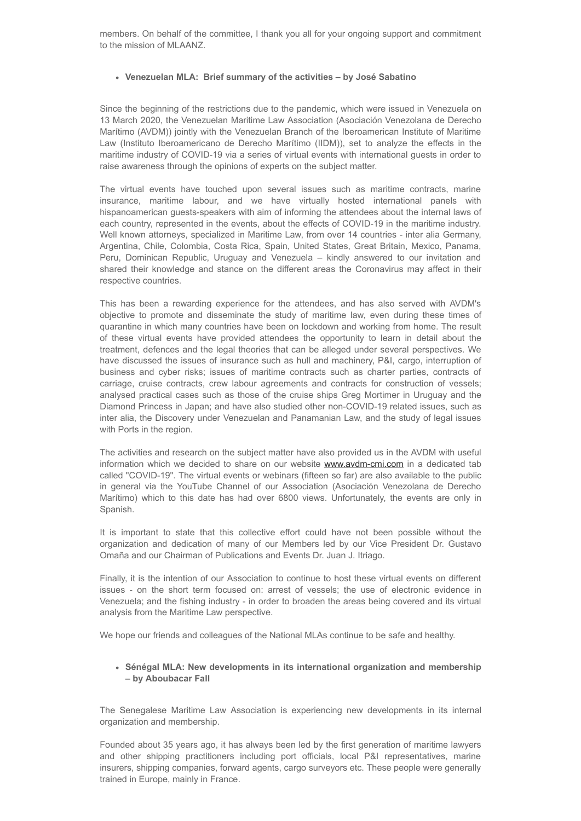members. On behalf of the committee, I thank you all for your ongoing support and commitment to the mission of MLAANZ.

#### **Venezuelan MLA: Brief summary of the activities – by José Sabatino**

Since the beginning of the restrictions due to the pandemic, which were issued in Venezuela on 13 March 2020, the Venezuelan Maritime Law Association (Asociación Venezolana de Derecho Marítimo (AVDM)) jointly with the Venezuelan Branch of the Iberoamerican Institute of Maritime Law (Instituto Iberoamericano de Derecho Marítimo (IIDM)), set to analyze the effects in the maritime industry of COVID-19 via a series of virtual events with international guests in order to raise awareness through the opinions of experts on the subject matter.

The virtual events have touched upon several issues such as maritime contracts, marine insurance, maritime labour, and we have virtually hosted international panels with hispanoamerican guests-speakers with aim of informing the attendees about the internal laws of each country, represented in the events, about the effects of COVID-19 in the maritime industry. Well known attorneys, specialized in Maritime Law, from over 14 countries - inter alia Germany, Argentina, Chile, Colombia, Costa Rica, Spain, United States, Great Britain, Mexico, Panama, Peru, Dominican Republic, Uruguay and Venezuela – kindly answered to our invitation and shared their knowledge and stance on the different areas the Coronavirus may affect in their respective countries.

This has been a rewarding experience for the attendees, and has also served with AVDM's objective to promote and disseminate the study of maritime law, even during these times of quarantine in which many countries have been on lockdown and working from home. The result of these virtual events have provided attendees the opportunity to learn in detail about the treatment, defences and the legal theories that can be alleged under several perspectives. We have discussed the issues of insurance such as hull and machinery, P&I, cargo, interruption of business and cyber risks; issues of maritime contracts such as charter parties, contracts of carriage, cruise contracts, crew labour agreements and contracts for construction of vessels; analysed practical cases such as those of the cruise ships Greg Mortimer in Uruguay and the Diamond Princess in Japan; and have also studied other non-COVID-19 related issues, such as inter alia, the Discovery under Venezuelan and Panamanian Law, and the study of legal issues with Ports in the region.

The activities and research on the subject matter have also provided us in the AVDM with useful information which we decided to share on our website [www.avdm-cmi.com](http://www.avdm-cmi.com/) in a dedicated tab called "COVID-19". The virtual events or webinars (fifteen so far) are also available to the public in general via the YouTube Channel of our Association (Asociación Venezolana de Derecho Marítimo) which to this date has had over 6800 views. Unfortunately, the events are only in Spanish.

It is important to state that this collective effort could have not been possible without the organization and dedication of many of our Members led by our Vice President Dr. Gustavo Omaña and our Chairman of Publications and Events Dr. Juan J. Itriago.

Finally, it is the intention of our Association to continue to host these virtual events on different issues - on the short term focused on: arrest of vessels; the use of electronic evidence in Venezuela; and the fishing industry - in order to broaden the areas being covered and its virtual analysis from the Maritime Law perspective.

We hope our friends and colleagues of the National MLAs continue to be safe and healthy.

#### **Sénégal MLA: New developments in its international organization and membership – by Aboubacar Fall**

The Senegalese Maritime Law Association is experiencing new developments in its internal organization and membership.

Founded about 35 years ago, it has always been led by the first generation of maritime lawyers and other shipping practitioners including port officials, local P&I representatives, marine insurers, shipping companies, forward agents, cargo surveyors etc. These people were generally trained in Europe, mainly in France.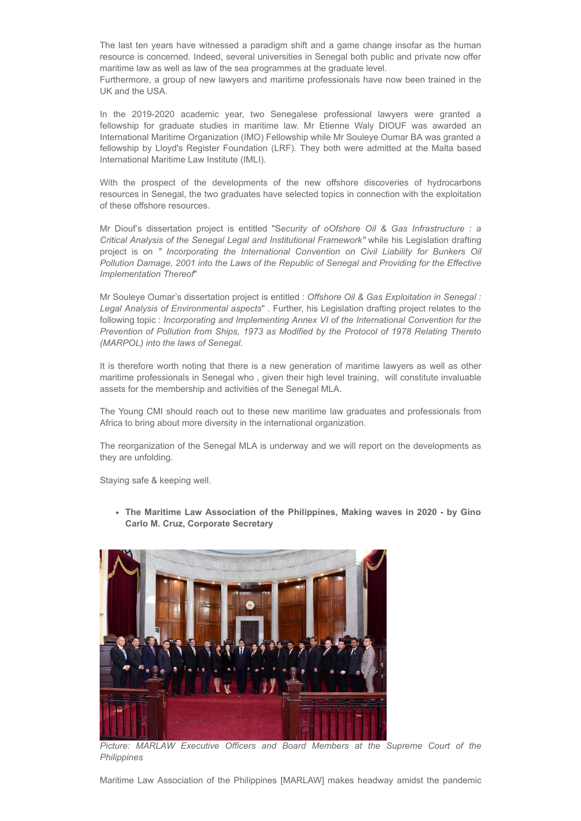The last ten years have witnessed a paradigm shift and a game change insofar as the human resource is concerned. Indeed, several universities in Senegal both public and private now offer maritime law as well as law of the sea programmes at the graduate level.

Furthermore, a group of new lawyers and maritime professionals have now been trained in the UK and the USA.

In the 2019-2020 academic year, two Senegalese professional lawyers were granted a fellowship for graduate studies in maritime law. Mr Etienne Waly DIOUF was awarded an International Maritime Organization (IMO) Fellowship while Mr Souleye Oumar BA was granted a fellowship by Lloyd's Register Foundation (LRF). They both were admitted at the Malta based International Maritime Law Institute (IMLI).

With the prospect of the developments of the new offshore discoveries of hydrocarbons resources in Senegal, the two graduates have selected topics in connection with the exploitation of these offshore resources.

Mr Diouf's dissertation project is entitled "S*ecurity of oOfshore Oil & Gas Infrastructure : a Critical Analysis of the Senegal Legal and Institutional Framework"* while his Legislation drafting project is on *" Incorporating the International Convention on Civil Liability for Bunkers Oil Pollution Damage, 2001 into the Laws of the Republic of Senegal and Providing for the Effective Implementation Thereof*"

Mr Souleye Oumar's dissertation project is entitled : *Offshore Oil & Gas Exploitation in Senegal : Legal Analysis of Environmental aspects*" . Further, his Legislation drafting project relates to the following topic : *Incorporating and Implementing Annex VI of the International Convention for the Prevention of Pollution from Ships, 1973 as Modified by the Protocol of 1978 Relating Thereto (MARPOL) into the laws of Senegal.*

It is therefore worth noting that there is a new generation of maritime lawyers as well as other maritime professionals in Senegal who , given their high level training, will constitute invaluable assets for the membership and activities of the Senegal MLA.

The Young CMI should reach out to these new maritime law graduates and professionals from Africa to bring about more diversity in the international organization.

The reorganization of the Senegal MLA is underway and we will report on the developments as they are unfolding.

Staying safe & keeping well.

**The Maritime Law Association of the Philippines, Making waves in 2020 - by Gino Carlo M. Cruz, Corporate Secretary**



*Picture: MARLAW Executive Officers and Board Members at the Supreme Court of the Philippines*

Maritime Law Association of the Philippines [MARLAW] makes headway amidst the pandemic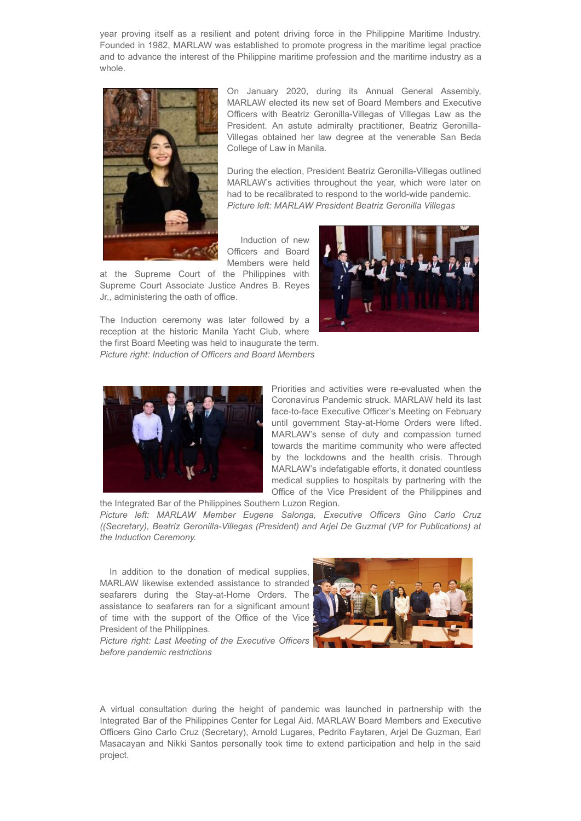year proving itself as a resilient and potent driving force in the Philippine Maritime Industry. Founded in 1982, MARLAW was established to promote progress in the maritime legal practice and to advance the interest of the Philippine maritime profession and the maritime industry as a whole.



On January 2020, during its Annual General Assembly, MARLAW elected its new set of Board Members and Executive Officers with Beatriz Geronilla-Villegas of Villegas Law as the President. An astute admiralty practitioner, Beatriz Geronilla-Villegas obtained her law degree at the venerable San Beda College of Law in Manila.

During the election, President Beatriz Geronilla-Villegas outlined MARLAW's activities throughout the year, which were later on had to be recalibrated to respond to the world-wide pandemic. *Picture left: MARLAW President Beatriz Geronilla Villegas*

Induction of new Officers and Board Members were held

at the Supreme Court of the Philippines with Supreme Court Associate Justice Andres B. Reyes Jr., administering the oath of office.



The Induction ceremony was later followed by a reception at the historic Manila Yacht Club, where the first Board Meeting was held to inaugurate the term. *Picture right: Induction of Officers and Board Members*



Priorities and activities were re-evaluated when the Coronavirus Pandemic struck. MARLAW held its last face-to-face Executive Officer's Meeting on February until government Stay-at-Home Orders were lifted. MARLAW's sense of duty and compassion turned towards the maritime community who were affected by the lockdowns and the health crisis. Through MARLAW's indefatigable efforts, it donated countless medical supplies to hospitals by partnering with the Office of the Vice President of the Philippines and

the Integrated Bar of the Philippines Southern Luzon Region. *Picture left: MARLAW Member Eugene Salonga, Executive Officers Gino Carlo Cruz ((Secretary), Beatriz Geronilla-Villegas (President) and Arjel De Guzmal (VP for Publications) at the Induction Ceremony.*

In addition to the donation of medical supplies, MARLAW likewise extended assistance to stranded seafarers during the Stay-at-Home Orders. The assistance to seafarers ran for a significant amount of time with the support of the Office of the Vice President of the Philippines.

*Picture right: Last Meeting of the Executive Officers before pandemic restrictions*



A virtual consultation during the height of pandemic was launched in partnership with the Integrated Bar of the Philippines Center for Legal Aid. MARLAW Board Members and Executive Officers Gino Carlo Cruz (Secretary), Arnold Lugares, Pedrito Faytaren, Arjel De Guzman, Earl Masacayan and Nikki Santos personally took time to extend participation and help in the said project.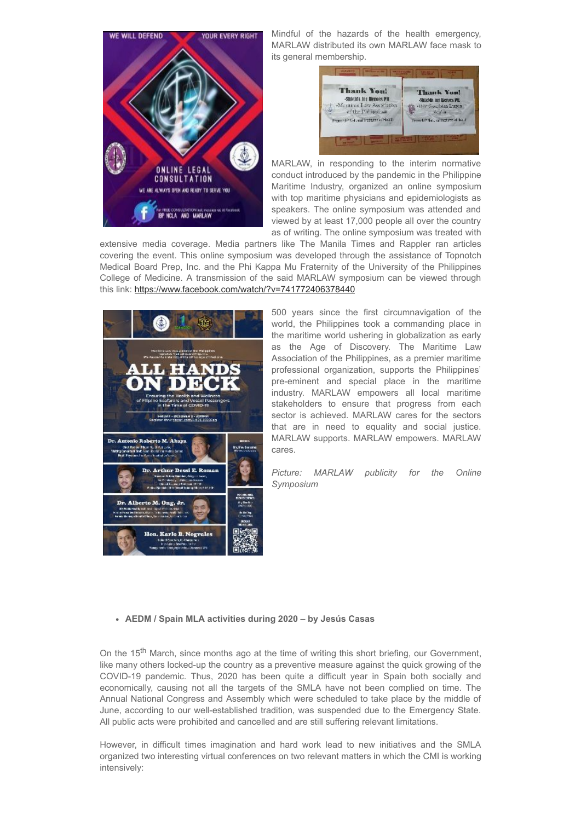

Mindful of the hazards of the health emergency, MARLAW distributed its own MARLAW face mask to its general membership.

| <b>Thank You!</b>                        | <b>Thank You!</b>                  |
|------------------------------------------|------------------------------------|
| -Shields for Hemes PH                    | -Shields for Benies PH             |
| «Manitime Law Association.               | HHP Southern Luzon                 |
| of the Pirlipedus.                       | Region                             |
| Promine Privational Institutes of Health | Insert Policy of Pathyrical the in |

MARLAW, in responding to the interim normative conduct introduced by the pandemic in the Philippine Maritime Industry, organized an online symposium with top maritime physicians and epidemiologists as speakers. The online symposium was attended and viewed by at least 17,000 people all over the country as of writing. The online symposium was treated with

extensive media coverage. Media partners like The Manila Times and Rappler ran articles covering the event. This online symposium was developed through the assistance of Topnotch Medical Board Prep, Inc. and the Phi Kappa Mu Fraternity of the University of the Philippines College of Medicine. A transmission of the said MARLAW symposium can be viewed through this link: <https://www.facebook.com/watch/?v=741772406378440>



500 years since the first circumnavigation of the world, the Philippines took a commanding place in the maritime world ushering in globalization as early as the Age of Discovery. The Maritime Law Association of the Philippines, as a premier maritime professional organization, supports the Philippines' pre-eminent and special place in the maritime industry. MARLAW empowers all local maritime stakeholders to ensure that progress from each sector is achieved. MARLAW cares for the sectors that are in need to equality and social justice. MARLAW supports. MARLAW empowers. MARLAW cares.

*Picture: MARLAW publicity for the Online Symposium*

#### **AEDM / Spain MLA activities during 2020 – by Jesús Casas**

On the 15<sup>th</sup> March, since months ago at the time of writing this short briefing, our Government, like many others locked-up the country as a preventive measure against the quick growing of the COVID-19 pandemic. Thus, 2020 has been quite a difficult year in Spain both socially and economically, causing not all the targets of the SMLA have not been complied on time. The Annual National Congress and Assembly which were scheduled to take place by the middle of June, according to our well-established tradition, was suspended due to the Emergency State. All public acts were prohibited and cancelled and are still suffering relevant limitations.

However, in difficult times imagination and hard work lead to new initiatives and the SMLA organized two interesting virtual conferences on two relevant matters in which the CMI is working intensively: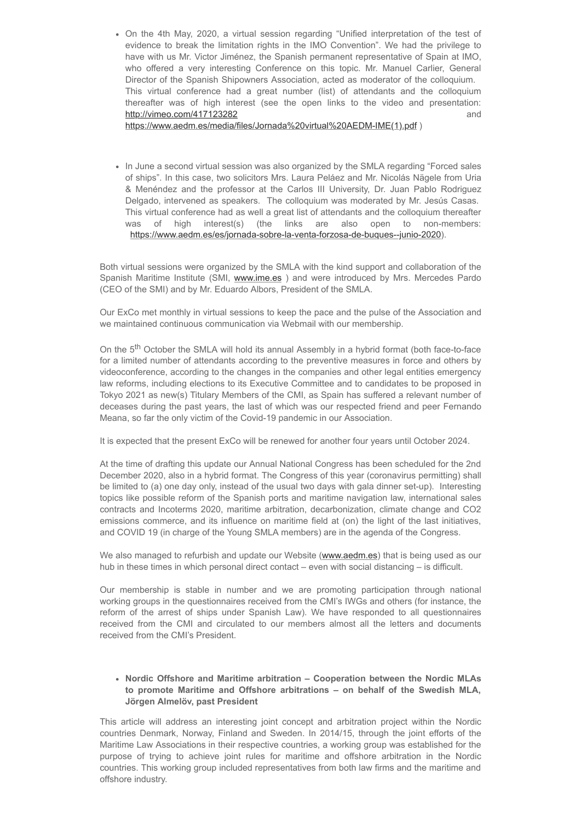On the 4th May, 2020, a virtual session regarding "Unified interpretation of the test of evidence to break the limitation rights in the IMO Convention". We had the privilege to have with us Mr. Victor Jiménez, the Spanish permanent representative of Spain at IMO, who offered a very interesting Conference on this topic. Mr. Manuel Carlier, General Director of the Spanish Shipowners Association, acted as moderator of the colloquium. This virtual conference had a great number (list) of attendants and the colloquium thereafter was of high interest (see the open links to the video and presentation: <http://vimeo.com/417123282> and

[https://www.aedm.es/media/files/Jornada%20virtual%20AEDM-IME\(1\).pdf](https://www.aedm.es/media/files/Jornada%20virtual%20AEDM-IME(1).pdf) )

• In June a second virtual session was also organized by the SMLA regarding "Forced sales of ships". In this case, two solicitors Mrs. Laura Peláez and Mr. Nicolás Nägele from Uria & Menéndez and the professor at the Carlos III University, Dr. Juan Pablo Rodriguez Delgado, intervened as speakers. The colloquium was moderated by Mr. Jesús Casas. This virtual conference had as well a great list of attendants and the colloquium thereafter was of high interest(s) (the links are also open to non-members: [https://www.aedm.es/es/jornada-sobre-la-venta-forzosa-de-buques--junio-2020\)](https://www.aedm.es/es/jornada-sobre-la-venta-forzosa-de-buques--junio-2020).

Both virtual sessions were organized by the SMLA with the kind support and collaboration of the Spanish Maritime Institute (SMI, [www.ime.es](http://www.ime.es/) ) and were introduced by Mrs. Mercedes Pardo (CEO of the SMI) and by Mr. Eduardo Albors, President of the SMLA.

Our ExCo met monthly in virtual sessions to keep the pace and the pulse of the Association and we maintained continuous communication via Webmail with our membership.

On the 5<sup>th</sup> October the SMLA will hold its annual Assembly in a hybrid format (both face-to-face for a limited number of attendants according to the preventive measures in force and others by videoconference, according to the changes in the companies and other legal entities emergency law reforms, including elections to its Executive Committee and to candidates to be proposed in Tokyo 2021 as new(s) Titulary Members of the CMI, as Spain has suffered a relevant number of deceases during the past years, the last of which was our respected friend and peer Fernando Meana, so far the only victim of the Covid-19 pandemic in our Association.

It is expected that the present ExCo will be renewed for another four years until October 2024.

At the time of drafting this update our Annual National Congress has been scheduled for the 2nd December 2020, also in a hybrid format. The Congress of this year (coronavirus permitting) shall be limited to (a) one day only, instead of the usual two days with gala dinner set-up). Interesting topics like possible reform of the Spanish ports and maritime navigation law, international sales contracts and Incoterms 2020, maritime arbitration, decarbonization, climate change and CO2 emissions commerce, and its influence on maritime field at (on) the light of the last initiatives, and COVID 19 (in charge of the Young SMLA members) are in the agenda of the Congress.

We also managed to refurbish and update our Website ([www.aedm.es](http://www.aedm.es/)) that is being used as our hub in these times in which personal direct contact – even with social distancing – is difficult.

Our membership is stable in number and we are promoting participation through national working groups in the questionnaires received from the CMI's IWGs and others (for instance, the reform of the arrest of ships under Spanish Law). We have responded to all questionnaires received from the CMI and circulated to our members almost all the letters and documents received from the CMI's President.

#### **Nordic Offshore and Maritime arbitration – Cooperation between the Nordic MLAs to promote Maritime and Offshore arbitrations – on behalf of the Swedish MLA, Jörgen Almelöv, past President**

This article will address an interesting joint concept and arbitration project within the Nordic countries Denmark, Norway, Finland and Sweden. In 2014/15, through the joint efforts of the Maritime Law Associations in their respective countries, a working group was established for the purpose of trying to achieve joint rules for maritime and offshore arbitration in the Nordic countries. This working group included representatives from both law firms and the maritime and offshore industry.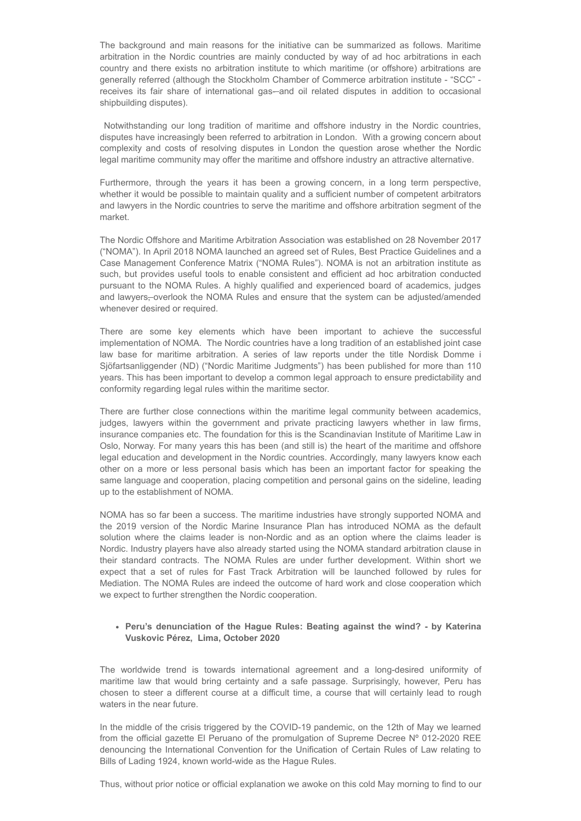The background and main reasons for the initiative can be summarized as follows. Maritime arbitration in the Nordic countries are mainly conducted by way of ad hoc arbitrations in each country and there exists no arbitration institute to which maritime (or offshore) arbitrations are generally referred (although the Stockholm Chamber of Commerce arbitration institute - "SCC" receives its fair share of international gas-and oil related disputes in addition to occasional shipbuilding disputes).

Notwithstanding our long tradition of maritime and offshore industry in the Nordic countries, disputes have increasingly been referred to arbitration in London. With a growing concern about complexity and costs of resolving disputes in London the question arose whether the Nordic legal maritime community may offer the maritime and offshore industry an attractive alternative.

Furthermore, through the years it has been a growing concern, in a long term perspective, whether it would be possible to maintain quality and a sufficient number of competent arbitrators and lawyers in the Nordic countries to serve the maritime and offshore arbitration segment of the market.

The Nordic Offshore and Maritime Arbitration Association was established on 28 November 2017 ("NOMA"). In April 2018 NOMA launched an agreed set of Rules, Best Practice Guidelines and a Case Management Conference Matrix ("NOMA Rules"). NOMA is not an arbitration institute as such, but provides useful tools to enable consistent and efficient ad hoc arbitration conducted pursuant to the NOMA Rules. A highly qualified and experienced board of academics, judges and lawyers, overlook the NOMA Rules and ensure that the system can be adjusted/amended whenever desired or required.

There are some key elements which have been important to achieve the successful implementation of NOMA. The Nordic countries have a long tradition of an established joint case law base for maritime arbitration. A series of law reports under the title Nordisk Domme i Sjöfartsanliggender (ND) ("Nordic Maritime Judgments") has been published for more than 110 years. This has been important to develop a common legal approach to ensure predictability and conformity regarding legal rules within the maritime sector.

There are further close connections within the maritime legal community between academics, judges, lawyers within the government and private practicing lawyers whether in law firms, insurance companies etc. The foundation for this is the Scandinavian Institute of Maritime Law in Oslo, Norway. For many years this has been (and still is) the heart of the maritime and offshore legal education and development in the Nordic countries. Accordingly, many lawyers know each other on a more or less personal basis which has been an important factor for speaking the same language and cooperation, placing competition and personal gains on the sideline, leading up to the establishment of NOMA.

NOMA has so far been a success. The maritime industries have strongly supported NOMA and the 2019 version of the Nordic Marine Insurance Plan has introduced NOMA as the default solution where the claims leader is non-Nordic and as an option where the claims leader is Nordic. Industry players have also already started using the NOMA standard arbitration clause in their standard contracts. The NOMA Rules are under further development. Within short we expect that a set of rules for Fast Track Arbitration will be launched followed by rules for Mediation. The NOMA Rules are indeed the outcome of hard work and close cooperation which we expect to further strengthen the Nordic cooperation.

#### **Peru's denunciation of the Hague Rules: Beating against the wind? - by Katerina Vuskovic Pérez, Lima, October 2020**

The worldwide trend is towards international agreement and a long-desired uniformity of maritime law that would bring certainty and a safe passage. Surprisingly, however, Peru has chosen to steer a different course at a difficult time, a course that will certainly lead to rough waters in the near future.

In the middle of the crisis triggered by the COVID-19 pandemic, on the 12th of May we learned from the official gazette El Peruano of the promulgation of Supreme Decree Nº 012-2020 REE denouncing the International Convention for the Unification of Certain Rules of Law relating to Bills of Lading 1924, known world-wide as the Hague Rules.

Thus, without prior notice or official explanation we awoke on this cold May morning to find to our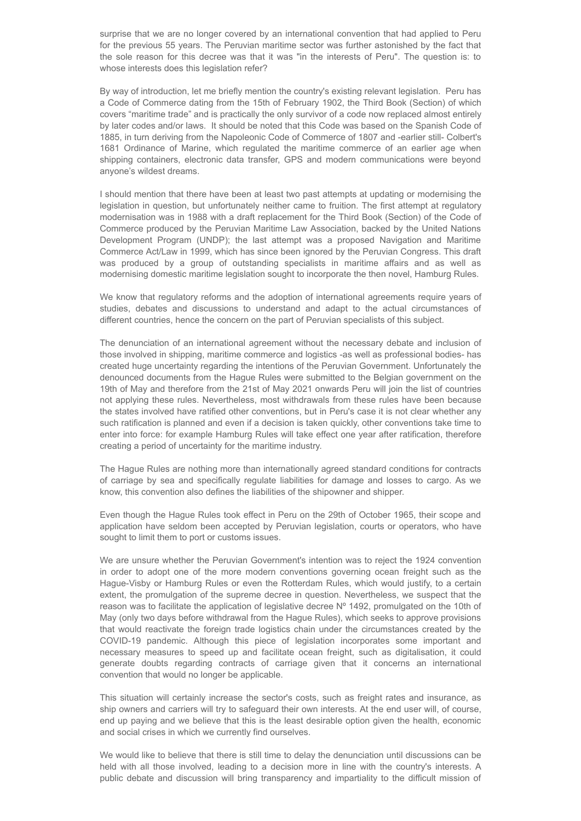surprise that we are no longer covered by an international convention that had applied to Peru for the previous 55 years. The Peruvian maritime sector was further astonished by the fact that the sole reason for this decree was that it was "in the interests of Peru". The question is: to whose interests does this legislation refer?

By way of introduction, let me briefly mention the country's existing relevant legislation. Peru has a Code of Commerce dating from the 15th of February 1902, the Third Book (Section) of which covers "maritime trade" and is practically the only survivor of a code now replaced almost entirely by later codes and/or laws. It should be noted that this Code was based on the Spanish Code of 1885, in turn deriving from the Napoleonic Code of Commerce of 1807 and -earlier still- Colbert's 1681 Ordinance of Marine, which regulated the maritime commerce of an earlier age when shipping containers, electronic data transfer, GPS and modern communications were beyond anyone's wildest dreams.

I should mention that there have been at least two past attempts at updating or modernising the legislation in question, but unfortunately neither came to fruition. The first attempt at regulatory modernisation was in 1988 with a draft replacement for the Third Book (Section) of the Code of Commerce produced by the Peruvian Maritime Law Association, backed by the United Nations Development Program (UNDP); the last attempt was a proposed Navigation and Maritime Commerce Act/Law in 1999, which has since been ignored by the Peruvian Congress. This draft was produced by a group of outstanding specialists in maritime affairs and as well as modernising domestic maritime legislation sought to incorporate the then novel, Hamburg Rules.

We know that regulatory reforms and the adoption of international agreements require years of studies, debates and discussions to understand and adapt to the actual circumstances of different countries, hence the concern on the part of Peruvian specialists of this subject.

The denunciation of an international agreement without the necessary debate and inclusion of those involved in shipping, maritime commerce and logistics -as well as professional bodies- has created huge uncertainty regarding the intentions of the Peruvian Government. Unfortunately the denounced documents from the Hague Rules were submitted to the Belgian government on the 19th of May and therefore from the 21st of May 2021 onwards Peru will join the list of countries not applying these rules. Nevertheless, most withdrawals from these rules have been because the states involved have ratified other conventions, but in Peru's case it is not clear whether any such ratification is planned and even if a decision is taken quickly, other conventions take time to enter into force: for example Hamburg Rules will take effect one year after ratification, therefore creating a period of uncertainty for the maritime industry.

The Hague Rules are nothing more than internationally agreed standard conditions for contracts of carriage by sea and specifically regulate liabilities for damage and losses to cargo. As we know, this convention also defines the liabilities of the shipowner and shipper.

Even though the Hague Rules took effect in Peru on the 29th of October 1965, their scope and application have seldom been accepted by Peruvian legislation, courts or operators, who have sought to limit them to port or customs issues.

We are unsure whether the Peruvian Government's intention was to reject the 1924 convention in order to adopt one of the more modern conventions governing ocean freight such as the Hague-Visby or Hamburg Rules or even the Rotterdam Rules, which would justify, to a certain extent, the promulgation of the supreme decree in question. Nevertheless, we suspect that the reason was to facilitate the application of legislative decree Nº 1492, promulgated on the 10th of May (only two days before withdrawal from the Hague Rules), which seeks to approve provisions that would reactivate the foreign trade logistics chain under the circumstances created by the COVID-19 pandemic. Although this piece of legislation incorporates some important and necessary measures to speed up and facilitate ocean freight, such as digitalisation, it could generate doubts regarding contracts of carriage given that it concerns an international convention that would no longer be applicable.

This situation will certainly increase the sector's costs, such as freight rates and insurance, as ship owners and carriers will try to safeguard their own interests. At the end user will, of course, end up paying and we believe that this is the least desirable option given the health, economic and social crises in which we currently find ourselves.

We would like to believe that there is still time to delay the denunciation until discussions can be held with all those involved, leading to a decision more in line with the country's interests. A public debate and discussion will bring transparency and impartiality to the difficult mission of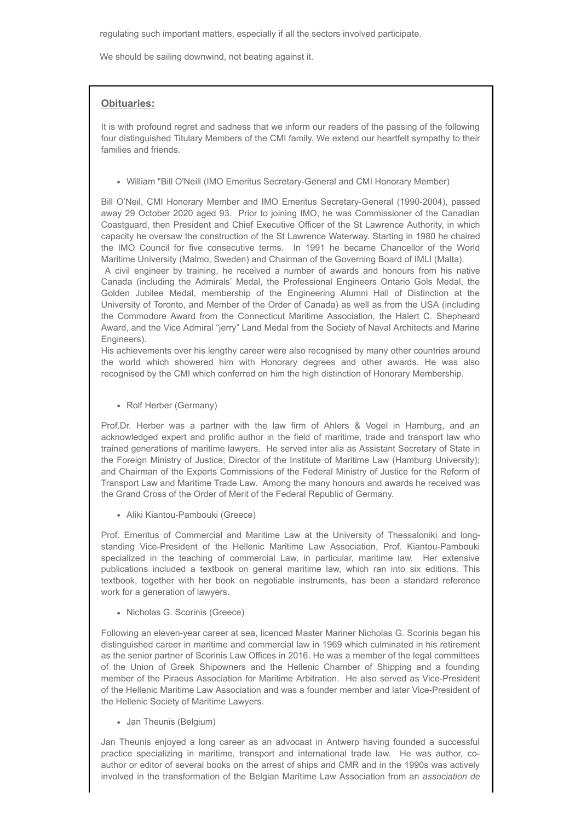regulating such important matters, especially if all the sectors involved participate.

We should be sailing downwind, not beating against it.

### **Obituaries:**

It is with profound regret and sadness that we inform our readers of the passing of the following four distinguished Titulary Members of the CMI family. We extend our heartfelt sympathy to their families and friends.

William "Bill O'Neill (IMO Emeritus Secretary-General and CMI Honorary Member)

Bill O'Neil, CMI Honorary Member and IMO Emeritus Secretary-General (1990-2004), passed away 29 October 2020 aged 93. Prior to joining IMO, he was Commissioner of the Canadian Coastguard, then President and Chief Executive Officer of the St Lawrence Authority, in which capacity he oversaw the construction of the St Lawrence Waterway. Starting in 1980 he chaired the IMO Council for five consecutive terms. In 1991 he became Chancellor of the World Maritime University (Malmo, Sweden) and Chairman of the Governing Board of IMLI (Malta).

A civil engineer by training, he received a number of awards and honours from his native Canada (including the Admirals' Medal, the Professional Engineers Ontario Gols Medal, the Golden Jubilee Medal, membership of the Engineering Alumni Hall of Distinction at the University of Toronto, and Member of the Order of Canada) as well as from the USA (including the Commodore Award from the Connecticut Maritime Association, the Halert C. Shepheard Award, and the Vice Admiral "jerry" Land Medal from the Society of Naval Architects and Marine Engineers).

His achievements over his lengthy career were also recognised by many other countries around the world which showered him with Honorary degrees and other awards. He was also recognised by the CMI which conferred on him the high distinction of Honorary Membership.

Rolf Herber (Germany)

Prof.Dr. Herber was a partner with the law firm of Ahlers & Vogel in Hamburg, and an acknowledged expert and prolific author in the field of maritime, trade and transport law who trained generations of maritime lawyers. He served inter alia as Assistant Secretary of State in the Foreign Ministry of Justice; Director of the Institute of Maritime Law (Hamburg University); and Chairman of the Experts Commissions of the Federal Ministry of Justice for the Reform of Transport Law and Maritime Trade Law. Among the many honours and awards he received was the Grand Cross of the Order of Merit of the Federal Republic of Germany.

Aliki Kiantou-Pambouki (Greece)

Prof. Emeritus of Commercial and Maritime Law at the University of Thessaloniki and longstanding Vice-President of the Hellenic Maritime Law Association, Prof. Kiantou-Pambouki specialized in the teaching of commercial Law, in particular, maritime law. Her extensive publications included a textbook on general maritime law, which ran into six editions. This textbook, together with her book on negotiable instruments, has been a standard reference work for a generation of lawyers.

• Nicholas G. Scorinis (Greece)

Following an eleven-year career at sea, licenced Master Mariner Nicholas G. Scorinis began his distinguished career in maritime and commercial law in 1969 which culminated in his retirement as the senior partner of Scorinis Law Offices in 2016. He was a member of the legal committees of the Union of Greek Shipowners and the Hellenic Chamber of Shipping and a founding member of the Piraeus Association for Maritime Arbitration. He also served as Vice-President of the Hellenic Maritime Law Association and was a founder member and later Vice-President of the Hellenic Society of Maritime Lawyers.

Jan Theunis (Belgium)

Jan Theunis enjoyed a long career as an advocaat in Antwerp having founded a successful practice specializing in maritime, transport and international trade law. He was author, coauthor or editor of several books on the arrest of ships and CMR and in the 1990s was actively involved in the transformation of the Belgian Maritime Law Association from an *association de*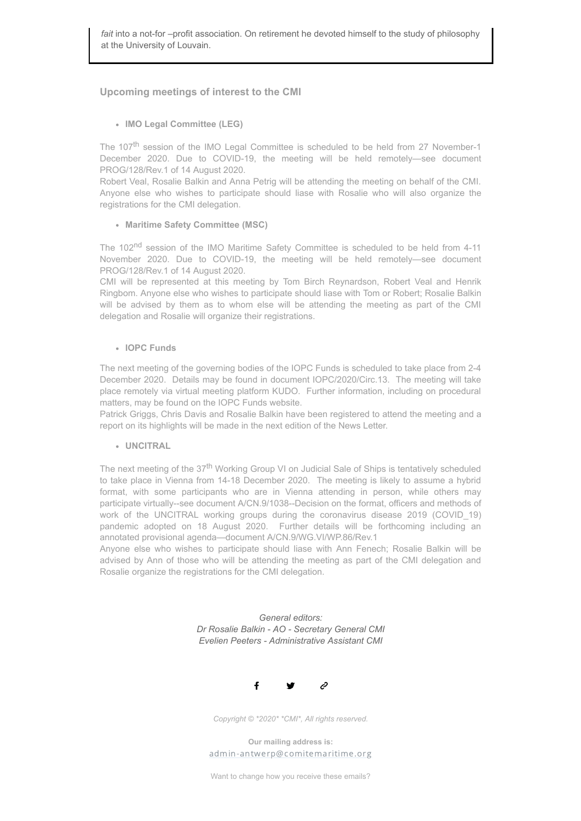# **Upcoming meetings of interest to the CMI**

**IMO Legal Committee (LEG)**

The 107<sup>th</sup> session of the IMO Legal Committee is scheduled to be held from 27 November-1 December 2020. Due to COVID-19, the meeting will be held remotely—see document PROG/128/Rev.1 of 14 August 2020.

Robert Veal, Rosalie Balkin and Anna Petrig will be attending the meeting on behalf of the CMI. Anyone else who wishes to participate should liase with Rosalie who will also organize the registrations for the CMI delegation.

#### **Maritime Safety Committee (MSC)**

The 102<sup>nd</sup> session of the IMO Maritime Safety Committee is scheduled to be held from 4-11 November 2020. Due to COVID-19, the meeting will be held remotely—see document PROG/128/Rev.1 of 14 August 2020.

CMI will be represented at this meeting by Tom Birch Reynardson, Robert Veal and Henrik Ringbom. Anyone else who wishes to participate should liase with Tom or Robert; Rosalie Balkin will be advised by them as to whom else will be attending the meeting as part of the CMI delegation and Rosalie will organize their registrations.

#### **IOPC Funds**

The next meeting of the governing bodies of the IOPC Funds is scheduled to take place from 2-4 December 2020. Details may be found in document IOPC/2020/Circ.13. The meeting will take place remotely via virtual meeting platform KUDO. Further information, including on procedural matters, may be found on the IOPC Funds website.

Patrick Griggs, Chris Davis and Rosalie Balkin have been registered to attend the meeting and a report on its highlights will be made in the next edition of the News Letter.

## **UNCITRAL**

The next meeting of the 37<sup>th</sup> Working Group VI on Judicial Sale of Ships is tentatively scheduled to take place in Vienna from 14-18 December 2020. The meeting is likely to assume a hybrid format, with some participants who are in Vienna attending in person, while others may participate virtually--see document A/CN.9/1038--Decision on the format, officers and methods of work of the UNCITRAL working groups during the coronavirus disease 2019 (COVID 19) pandemic adopted on 18 August 2020. Further details will be forthcoming including an annotated provisional agenda—document A/CN.9/WG.VI/WP.86/Rev.1

Anyone else who wishes to participate should liase with Ann Fenech; Rosalie Balkin will be advised by Ann of those who will be attending the meeting as part of the CMI delegation and Rosalie organize the registrations for the CMI delegation.

> *General editors: Dr Rosalie Balkin - AO - Secretary General CMI Evelien Peeters - Administrative Assistant CMI*



*Copyright © \*2020\* \*CMI\*, All rights reserved.*

**Our mailing address is:** admin-antwerp@comitemaritime.org

Want to change how you receive these emails?